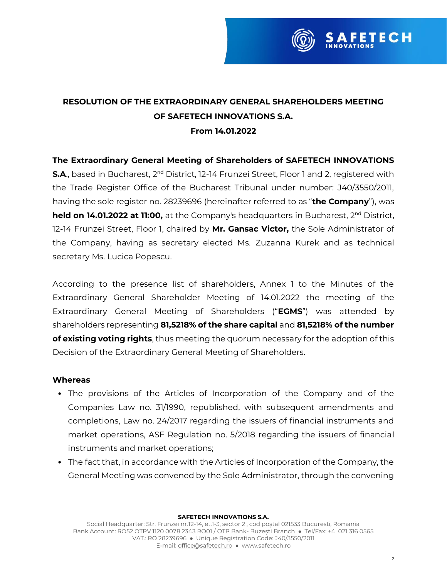

# **RESOLUTION OF THE EXTRAORDINARY GENERAL SHAREHOLDERS MEETING OF SAFETECH INNOVATIONS S.A. From 14.01.2022**

## **The Extraordinary General Meeting of Shareholders of SAFETECH INNOVATIONS**

**S.A.**, based in Bucharest, 2<sup>nd</sup> District, 12-14 Frunzei Street, Floor 1 and 2, registered with the Trade Register Office of the Bucharest Tribunal under number: J40/3550/2011, having the sole register no. 28239696 (hereinafter referred to as "**the Company**"), was **held on 14.01.2022 at 11:00,** at the Company's headquarters in Bucharest, 2<sup>nd</sup> District, 12-14 Frunzei Street, Floor 1, chaired by **Mr. Gansac Victor,** the Sole Administrator of the Company, having as secretary elected Ms. Zuzanna Kurek and as technical secretary Ms. Lucica Popescu.

According to the presence list of shareholders, Annex 1 to the Minutes of the Extraordinary General Shareholder Meeting of 14.01.2022 the meeting of the Extraordinary General Meeting of Shareholders ("EGMS") was attended by shareholders representing **81,5218% of the share capital** and **81,5218% of the number of existing voting rights**, thus meeting the quorum necessary for the adoption of this Decision of the Extraordinary General Meeting of Shareholders.

### **Whereas**

- The provisions of the Articles of Incorporation of the Company and of the Companies Law no. 31/1990, republished, with subsequent amendments and completions, Law no. 24/2017 regarding the issuers of financial instruments and market operations, ASF Regulation no. 5/2018 regarding the issuers of financial instruments and market operations;
- The fact that, in accordance with the Articles of Incorporation of the Company, the General Meeting was convened by the Sole Administrator, through the convening

#### **SAFETECH INNOVATIONS S.A.**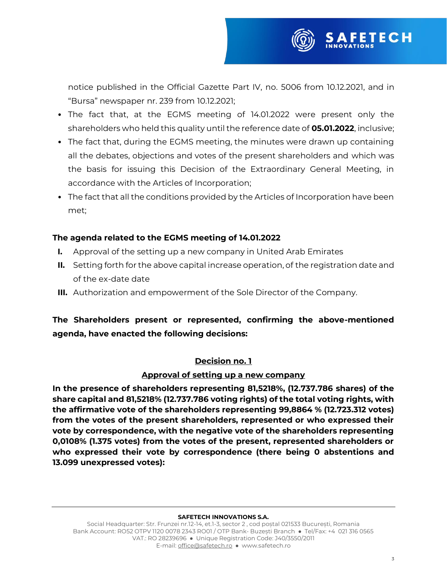

- The fact that, at the EGMS meeting of 14.01.2022 were present only the shareholders who held this quality until the reference date of **05.01.2022**, inclusive;
- The fact that, during the EGMS meeting, the minutes were drawn up containing all the debates, objections and votes of the present shareholders and which was the basis for issuing this Decision of the Extraordinary General Meeting, in accordance with the Articles of Incorporation;
- The fact that all the conditions provided by the Articles of Incorporation have been met;

### **The agenda related to the EGMS meeting of 14.01.2022**

- **I.** Approval of the setting up a new company in United Arab Emirates
- **II.** Setting forth for the above capital increase operation, of the registration date and of the ex-date date
- **III.** Authorization and empowerment of the Sole Director of the Company.

# **The Shareholders present or represented, confirming the above-mentioned agenda, have enacted the following decisions:**

### **Decision no. 1**

### **Approval of setting up a new company**

**In the presence of shareholders representing 81,5218%, (12.737.786 shares) of the share capital and 81,5218% (12.737.786 voting rights) of the total voting rights, with the affirmative vote of the shareholders representing 99,8864 % (12.723.312 votes) from the votes of the present shareholders, represented or who expressed their vote by correspondence, with the negative vote of the shareholders representing 0,0108% (1.375 votes) from the votes of the present, represented shareholders or who expressed their vote by correspondence (there being 0 abstentions and 13.099 unexpressed votes):**

#### **SAFETECH INNOVATIONS S.A.**

Social Headquarter: Str. Frunzei nr.12-14, et.1-3, sector 2, cod postal 021533 București, Romania Bank Account: RO52 OTPV 1120 0078 2343 RO01 / OTP Bank- Buzesti Branch • Tel/Fax: +4 021 316 0565 VAT.: RO 28239696 Ɣ Unique Registration Code: J40/3550/2011 E-mail[: office@safetech.ro](mailto:office@safetech.ro) • www.safetech.ro

**FETECH**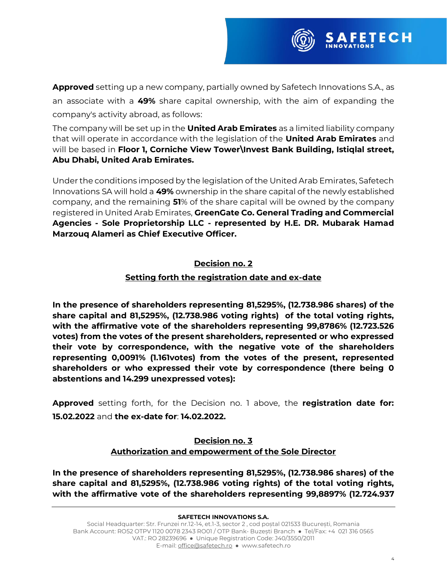

**Approved** setting up a new company, partially owned by Safetech Innovations S.A., as an associate with a **49%** share capital ownership, with the aim of expanding the company's activity abroad, as follows:

The company will be set up in the **United Arab Emirates** as a limited liability company that will operate in accordance with the legislation of the **United Arab Emirates** and will be based in **Floor 1, Corniche View Tower\Invest Bank Building, Istiqlal street, Abu Dhabi, United Arab Emirates.**

Under the conditions imposed by the legislation of the United Arab Emirates, Safetech Innovations SA will hold a **49%** ownership in the share capital of the newly established company, and the remaining **51**% of the share capital will be owned by the company registered in United Arab Emirates, **GreenGate Co. General Trading and Commercial Agencies - Sole Proprietorship LLC - represented by H.E. DR. Mubarak Hamad Marzouq Alameri as Chief Executive Officer.**

# **Decision no. 2**

# **Setting forth the registration date and ex-date**

**In the presence of shareholders representing 81,5295%, (12.738.986 shares) of the share capital and 81,5295%, (12.738.986 voting rights) of the total voting rights, with the affirmative vote of the shareholders representing 99,8786% (12.723.526 votes) from the votes of the present shareholders, represented or who expressed their vote by correspondence, with the negative vote of the shareholders representing 0,0091% (1.161votes) from the votes of the present, represented shareholders or who expressed their vote by correspondence (there being 0 abstentions and 14.299 unexpressed votes):**

**Approved** setting forth, for the Decision no. 1 above, the **registration date for: 15.02.2022** and **the ex-date for**: **14.02.2022.**

# **Decision no. 3 Authorization and empowerment of the Sole Director**

**In the presence of shareholders representing 81,5295%, (12.738.986 shares) of the share capital and 81,5295%, (12.738.986 voting rights) of the total voting rights, with the affirmative vote of the shareholders representing 99,8897% (12.724.937**

#### **SAFETECH INNOVATIONS S.A.**